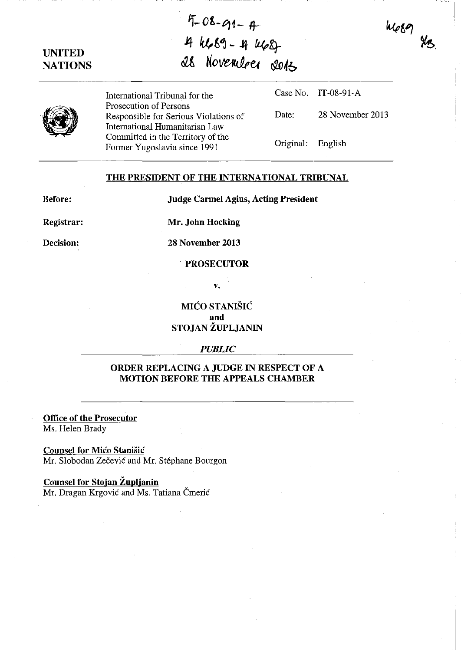# UNITED **NATIONS**

 $4 - 08 - 91 - 4$ it fU.,6~ - Jt *£i4K}*  as november sors

International Tribunal for the Prosecution of Persons Responsible for Serious Violations of International Humanitarian Law Committed in the Territory of the Former Yugoslavia since 1991

Case No. IT-08-91-A Date: 28 November 2013  $\mathbf{I}$ 

 $4689$ 

Original: English

### THE PRESIDENT OF THE INTERNATIONAL TRIBUNAL

Before:

Judge Carmel Agius, Acting President

Registrar:

Mr. John Hocking

Decision:

28 November 2013

### PROSECUTOR

v.

## MICO STANISIC and STOJAN ZUPLJANIN

#### *PUBLIC*

### ORDER REPLACING A JUDGE IN RESPECT OF A MOTION BEFORE THE APPEALS CHAMBER

Office of the Prosecutor Ms. Helen Brady

Counsel for Mico Stanisic Mr. Slobodan Zečević and Mr. Stéphane Bourgon

# Counsel for Stojan Župljanin

Mr. Dragan Krgović and Ms. Tatiana Čmerić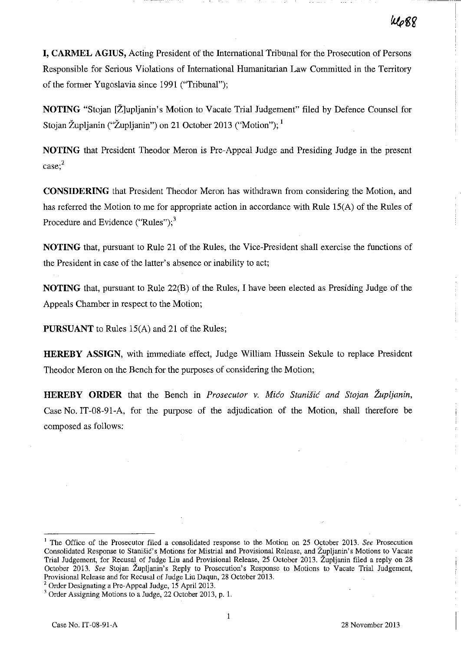**I, CARMEL AGIUS,** Acting President of the International Tribunal for the Prosecution of Persons Responsible for Serious Violations of International Humanitarian Law Committed in the Territory of the former Yugoslavia since 1991 ("Tribunal");

**NOTING** "Stojan [Ž]upljanin's Motion to Vacate Trial Judgement" filed by Defence Counsel for Stojan Župljanin ("Župljanin") on 21 October 2013 ("Motion"); <sup>1</sup>

**NOTING** that President Theodor Meron is Pre-Appeal Judge and Presiding Judge in the present **case;2** 

**CONSIDERING** that President Theodor Meron has withdrawn from considering the Motion, and has referred the Motion to me for appropriate action in accordance with Rule IS(A) of the Rules of Procedure and Evidence ("Rules"); $<sup>3</sup>$ </sup>

**NOTING** that, pursuant to Rule 21 of the Rules, the Vice-President shall exercise the fnnctions of the President in case of the latter's absence or inability to act;

**NOTING** that, pursuant to Rule 22(B) of the Rules, I have been elected as Presiding Judge of the Appeals Chamber in respect to the Motion;

**PURSUANT** to Rules 15(A) and 21 of the Rules;

**HEREBY ASSIGN,** with imrnediaie effect, Judge William Hussein Sekule to replace President Theodor Meron on the Bench for the purposes of considering the Motion;

**HEREBY ORDER** that the Bench in *Prosecutor* v. *Mica Stanisic and Stojan Zupljanin,*  Case No. IT-08-91-A, for the purpose of the adjudication of the Motion, shall therefore be composed as follows:

<sup>&</sup>lt;sup>1</sup> The Office of the Prosecutor filed a consolidated response to the Motion on 25 October 2013. *See* Prosecution Consolidated Response to Stanišic's Motions for Mistrial and Provisional Release, and Župljanin's Motions to Vacate Trial Judgement, for Recusal of Judge Liu and Provisional Release, 25 October 2013. Zupljanin filed a reply on 28 October 2013. See Stojan Župljanin's Reply to Prosecution's Response to Motions to Vacate Trial Judgement, Provisional Release and for Recusal of Judge Liu Daqun, 28 October 2013.

<sup>2</sup> Order Designating a Pre-Appeal Judge, 15 April 2013.

<sup>&</sup>lt;sup>3</sup> Order Assigning Motions to a Judge, 22 October 2013, p. 1.